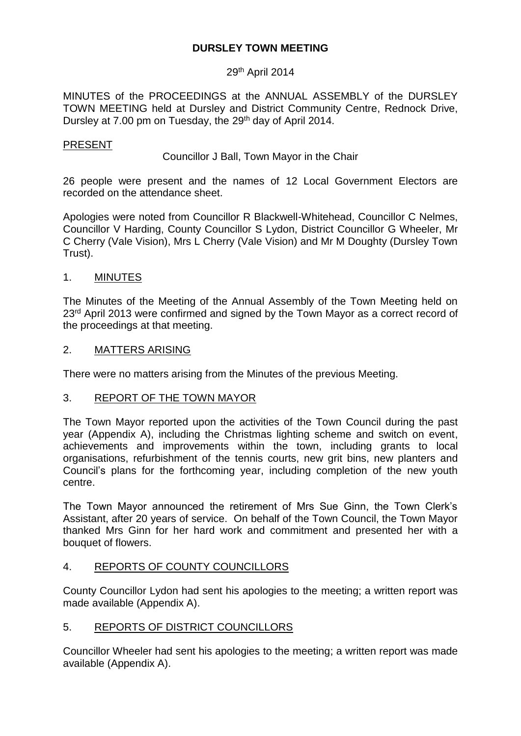# **DURSLEY TOWN MEETING**

### 29<sup>th</sup> April 2014

MINUTES of the PROCEEDINGS at the ANNUAL ASSEMBLY of the DURSLEY TOWN MEETING held at Dursley and District Community Centre, Rednock Drive, Dursley at 7.00 pm on Tuesday, the 29<sup>th</sup> day of April 2014.

### PRESENT

Councillor J Ball, Town Mayor in the Chair

26 people were present and the names of 12 Local Government Electors are recorded on the attendance sheet.

Apologies were noted from Councillor R Blackwell-Whitehead, Councillor C Nelmes, Councillor V Harding, County Councillor S Lydon, District Councillor G Wheeler, Mr C Cherry (Vale Vision), Mrs L Cherry (Vale Vision) and Mr M Doughty (Dursley Town Trust).

### 1. MINUTES

The Minutes of the Meeting of the Annual Assembly of the Town Meeting held on 23<sup>rd</sup> April 2013 were confirmed and signed by the Town Mayor as a correct record of the proceedings at that meeting.

### 2. MATTERS ARISING

There were no matters arising from the Minutes of the previous Meeting.

### 3. REPORT OF THE TOWN MAYOR

The Town Mayor reported upon the activities of the Town Council during the past year (Appendix A), including the Christmas lighting scheme and switch on event, achievements and improvements within the town, including grants to local organisations, refurbishment of the tennis courts, new grit bins, new planters and Council's plans for the forthcoming year, including completion of the new youth centre.

The Town Mayor announced the retirement of Mrs Sue Ginn, the Town Clerk's Assistant, after 20 years of service. On behalf of the Town Council, the Town Mayor thanked Mrs Ginn for her hard work and commitment and presented her with a bouquet of flowers.

### 4. REPORTS OF COUNTY COUNCILLORS

County Councillor Lydon had sent his apologies to the meeting; a written report was made available (Appendix A).

### 5. REPORTS OF DISTRICT COUNCILLORS

Councillor Wheeler had sent his apologies to the meeting; a written report was made available (Appendix A).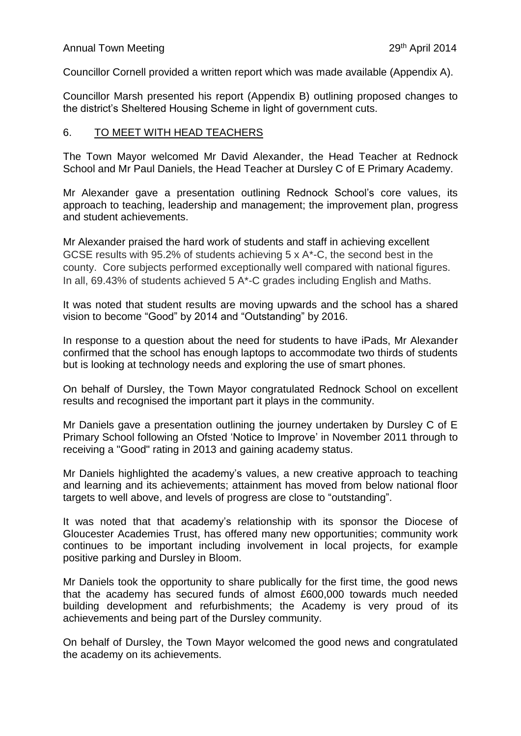Councillor Cornell provided a written report which was made available (Appendix A).

Councillor Marsh presented his report (Appendix B) outlining proposed changes to the district's Sheltered Housing Scheme in light of government cuts.

# 6. TO MEET WITH HEAD TEACHERS

The Town Mayor welcomed Mr David Alexander, the Head Teacher at Rednock School and Mr Paul Daniels, the Head Teacher at Dursley C of E Primary Academy.

Mr Alexander gave a presentation outlining Rednock School's core values, its approach to teaching, leadership and management; the improvement plan, progress and student achievements.

Mr Alexander praised the hard work of students and staff in achieving excellent GCSE results with 95.2% of students achieving 5 x A\*-C, the second best in the county. Core subjects performed exceptionally well compared with national figures. In all, 69.43% of students achieved 5 A\*-C grades including English and Maths.

It was noted that student results are moving upwards and the school has a shared vision to become "Good" by 2014 and "Outstanding" by 2016.

In response to a question about the need for students to have iPads, Mr Alexander confirmed that the school has enough laptops to accommodate two thirds of students but is looking at technology needs and exploring the use of smart phones.

On behalf of Dursley, the Town Mayor congratulated Rednock School on excellent results and recognised the important part it plays in the community.

Mr Daniels gave a presentation outlining the journey undertaken by Dursley C of E Primary School following an Ofsted 'Notice to Improve' in November 2011 through to receiving a "Good" rating in 2013 and gaining academy status.

Mr Daniels highlighted the academy's values, a new creative approach to teaching and learning and its achievements; attainment has moved from below national floor targets to well above, and levels of progress are close to "outstanding".

It was noted that that academy's relationship with its sponsor the Diocese of Gloucester Academies Trust, has offered many new opportunities; community work continues to be important including involvement in local projects, for example positive parking and Dursley in Bloom.

Mr Daniels took the opportunity to share publically for the first time, the good news that the academy has secured funds of almost £600,000 towards much needed building development and refurbishments; the Academy is very proud of its achievements and being part of the Dursley community.

On behalf of Dursley, the Town Mayor welcomed the good news and congratulated the academy on its achievements.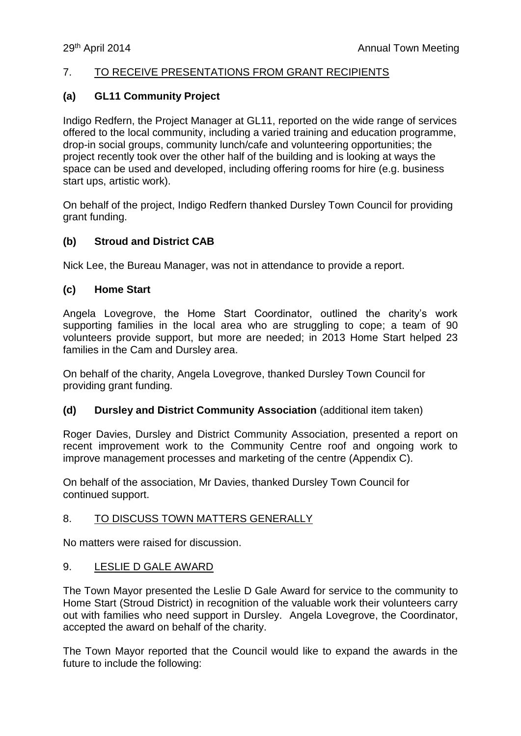### 7. TO RECEIVE PRESENTATIONS FROM GRANT RECIPIENTS

### **(a) GL11 Community Project**

Indigo Redfern, the Project Manager at GL11, reported on the wide range of services offered to the local community, including a varied training and education programme, drop-in social groups, community lunch/cafe and volunteering opportunities; the project recently took over the other half of the building and is looking at ways the space can be used and developed, including offering rooms for hire (e.g. business start ups, artistic work).

On behalf of the project, Indigo Redfern thanked Dursley Town Council for providing grant funding.

### **(b) Stroud and District CAB**

Nick Lee, the Bureau Manager, was not in attendance to provide a report.

### **(c) Home Start**

Angela Lovegrove, the Home Start Coordinator, outlined the charity's work supporting families in the local area who are struggling to cope; a team of 90 volunteers provide support, but more are needed; in 2013 Home Start helped 23 families in the Cam and Dursley area.

On behalf of the charity, Angela Lovegrove, thanked Dursley Town Council for providing grant funding.

### **(d) Dursley and District Community Association** (additional item taken)

Roger Davies, Dursley and District Community Association, presented a report on recent improvement work to the Community Centre roof and ongoing work to improve management processes and marketing of the centre (Appendix C).

On behalf of the association, Mr Davies, thanked Dursley Town Council for continued support.

### 8. TO DISCUSS TOWN MATTERS GENERALLY

No matters were raised for discussion.

### 9. LESLIE D GALE AWARD

The Town Mayor presented the Leslie D Gale Award for service to the community to Home Start (Stroud District) in recognition of the valuable work their volunteers carry out with families who need support in Dursley. Angela Lovegrove, the Coordinator, accepted the award on behalf of the charity.

The Town Mayor reported that the Council would like to expand the awards in the future to include the following: